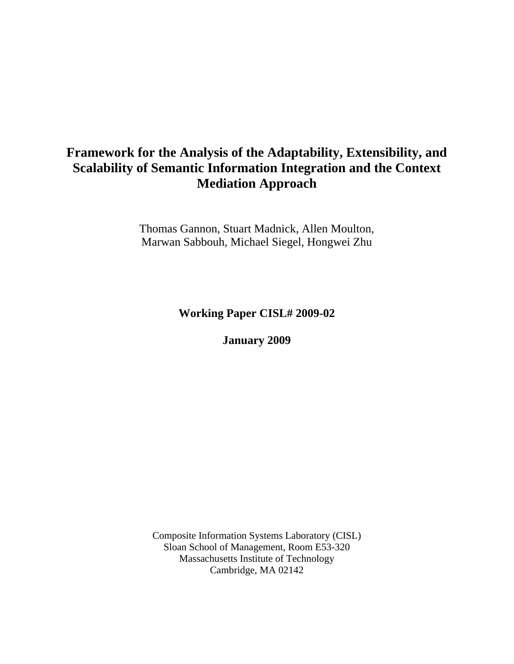# **Framework for the Analysis of the Adaptability, Extensibility, and Scalability of Semantic Information Integration and the Context Mediation Approach**

Thomas Gannon, Stuart Madnick, Allen Moulton, Marwan Sabbouh, Michael Siegel, Hongwei Zhu

**Working Paper CISL# 2009-02** 

**January 2009** 

Composite Information Systems Laboratory (CISL) Sloan School of Management, Room E53-320 Massachusetts Institute of Technology Cambridge, MA 02142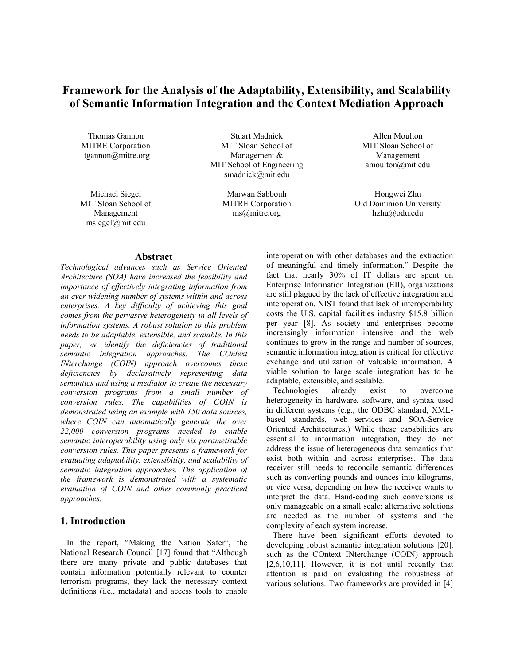# **Framework for the Analysis of the Adaptability, Extensibility, and Scalability of Semantic Information Integration and the Context Mediation Approach**

Thomas Gannon MITRE Corporation tgannon@mitre.org

Michael Siegel MIT Sloan School of Management msiegel@mit.edu

Stuart Madnick MIT Sloan School of Management & MIT School of Engineering smadnick@mit.edu

> Marwan Sabbouh MITRE Corporation ms@mitre.org

Allen Moulton MIT Sloan School of Management amoulton@mit.edu

Hongwei Zhu Old Dominion University hzhu@odu.edu

#### **Abstract**

*Technological advances such as Service Oriented Architecture (SOA) have increased the feasibility and importance of effectively integrating information from an ever widening number of systems within and across enterprises. A key difficulty of achieving this goal comes from the pervasive heterogeneity in all levels of information systems. A robust solution to this problem needs to be adaptable, extensible, and scalable. In this paper, we identify the deficiencies of traditional semantic integration approaches. The COntext INterchange (COIN) approach overcomes these deficiencies by declaratively representing data semantics and using a mediator to create the necessary conversion programs from a small number of conversion rules. The capabilities of COIN is demonstrated using an example with 150 data sources, where COIN can automatically generate the over 22,000 conversion programs needed to enable semantic interoperability using only six parametizable conversion rules. This paper presents a framework for evaluating adaptability, extensibility, and scalability of semantic integration approaches. The application of the framework is demonstrated with a systematic evaluation of COIN and other commonly practiced approaches.*

## **1. Introduction**

 In the report, "Making the Nation Safer", the National Research Council [17] found that "Although there are many private and public databases that contain information potentially relevant to counter terrorism programs, they lack the necessary context definitions (i.e., metadata) and access tools to enable

interoperation with other databases and the extraction of meaningful and timely information." Despite the fact that nearly 30% of IT dollars are spent on Enterprise Information Integration (EII), organizations are still plagued by the lack of effective integration and interoperation. NIST found that lack of interoperability costs the U.S. capital facilities industry \$15.8 billion per year [8]. As society and enterprises become increasingly information intensive and the web continues to grow in the range and number of sources, semantic information integration is critical for effective exchange and utilization of valuable information. A viable solution to large scale integration has to be adaptable, extensible, and scalable.

 Technologies already exist to overcome heterogeneity in hardware, software, and syntax used in different systems (e.g., the ODBC standard, XMLbased standards, web services and SOA-Service Oriented Architectures.) While these capabilities are essential to information integration, they do not address the issue of heterogeneous data semantics that exist both within and across enterprises. The data receiver still needs to reconcile semantic differences such as converting pounds and ounces into kilograms, or vice versa, depending on how the receiver wants to interpret the data. Hand-coding such conversions is only manageable on a small scale; alternative solutions are needed as the number of systems and the complexity of each system increase.

 There have been significant efforts devoted to developing robust semantic integration solutions [20], such as the COntext INterchange (COIN) approach [2,6,10,11]. However, it is not until recently that attention is paid on evaluating the robustness of various solutions. Two frameworks are provided in [4]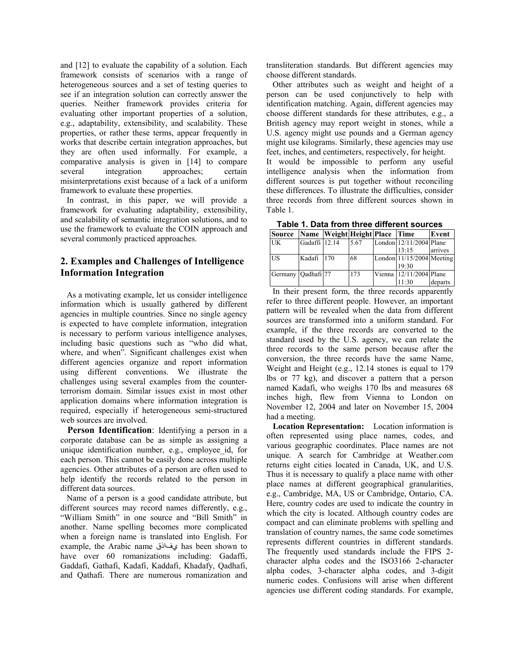and [12] to evaluate the capability of a solution. Each framework consists of scenarios with a range of heterogeneous sources and a set of testing queries to see if an integration solution can correctly answer the queries. Neither framework provides criteria for evaluating other important properties of a solution, e.g., adaptability, extensibility, and scalability. These properties, or rather these terms, appear frequently in works that describe certain integration approaches, but they are often used informally. For example, a comparative analysis is given in [14] to compare several integration approaches; certain misinterpretations exist because of a lack of a uniform framework to evaluate these properties.

 In contrast, in this paper, we will provide a framework for evaluating adaptability, extensibility, and scalability of semantic integration solutions, and to use the framework to evaluate the COIN approach and several commonly practiced approaches.

## **2. Examples and Challenges of Intelligence Information Integration**

 As a motivating example, let us consider intelligence information which is usually gathered by different agencies in multiple countries. Since no single agency is expected to have complete information, integration is necessary to perform various intelligence analyses, including basic questions such as "who did what, where, and when". Significant challenges exist when different agencies organize and report information using different conventions. We illustrate the challenges using several examples from the counterterrorism domain. Similar issues exist in most other application domains where information integration is required, especially if heterogeneous semi-structured web sources are involved.

 **Person Identification**: Identifying a person in a corporate database can be as simple as assigning a unique identification number, e.g., employee\_id, for each person. This cannot be easily done across multiple agencies. Other attributes of a person are often used to help identify the records related to the person in different data sources.

 Name of a person is a good candidate attribute, but different sources may record names differently, e.g., "William Smith" in one source and "Bill Smith" in another. Name spelling becomes more complicated when a foreign name is translated into English. For example, the Arabic name يفاذق has been shown to have over 60 romanizations including: Gadaffi, Gaddafi, Gathafi, Kadafi, Kaddafi, Khadafy, Qadhafi, and Qathafi. There are numerous romanization and

transliteration standards. But different agencies may choose different standards.

 Other attributes such as weight and height of a person can be used conjunctively to help with identification matching. Again, different agencies may choose different standards for these attributes, e.g., a British agency may report weight in stones, while a U.S. agency might use pounds and a German agency might use kilograms. Similarly, these agencies may use feet, inches, and centimeters, respectively, for height.

It would be impossible to perform any useful intelligence analysis when the information from different sources is put together without reconciling these differences. To illustrate the difficulties, consider three records from three different sources shown in Table 1.

**Table 1. Data from three different sources** 

| <b>Source</b>      |                          | Name   Weight   Height   Place   Time |      |                             | Event   |
|--------------------|--------------------------|---------------------------------------|------|-----------------------------|---------|
| UK                 | Gadaffi <sup>12.14</sup> |                                       | 5.67 | London 12/11/2004 Plane     |         |
|                    |                          |                                       |      | 13:15                       | arrives |
| US                 | Kadafi 170               |                                       | 68   | London $11/15/2004$ Meeting |         |
|                    |                          |                                       |      | 19:30                       |         |
| Germany Qadhafi 77 |                          |                                       | 173  | Vienna 12/11/2004 Plane     |         |
|                    |                          |                                       |      | 11:30                       | departs |

 In their present form, the three records apparently refer to three different people. However, an important pattern will be revealed when the data from different sources are transformed into a uniform standard. For example, if the three records are converted to the standard used by the U.S. agency, we can relate the three records to the same person because after the conversion, the three records have the same Name, Weight and Height (e.g., 12.14 stones is equal to 179 lbs or 77 kg), and discover a pattern that a person named Kadafi, who weighs 170 lbs and measures 68 inches high, flew from Vienna to London on November 12, 2004 and later on November 15, 2004 had a meeting.

 **Location Representation:** Location information is often represented using place names, codes, and various geographic coordinates. Place names are not unique. A search for Cambridge at Weather.com returns eight cities located in Canada, UK, and U.S. Thus it is necessary to qualify a place name with other place names at different geographical granularities, e.g., Cambridge, MA, US or Cambridge, Ontario, CA. Here, country codes are used to indicate the country in which the city is located. Although country codes are compact and can eliminate problems with spelling and translation of country names, the same code sometimes represents different countries in different standards. The frequently used standards include the FIPS 2 character alpha codes and the ISO3166 2-character alpha codes, 3-character alpha codes, and 3-digit numeric codes. Confusions will arise when different agencies use different coding standards. For example,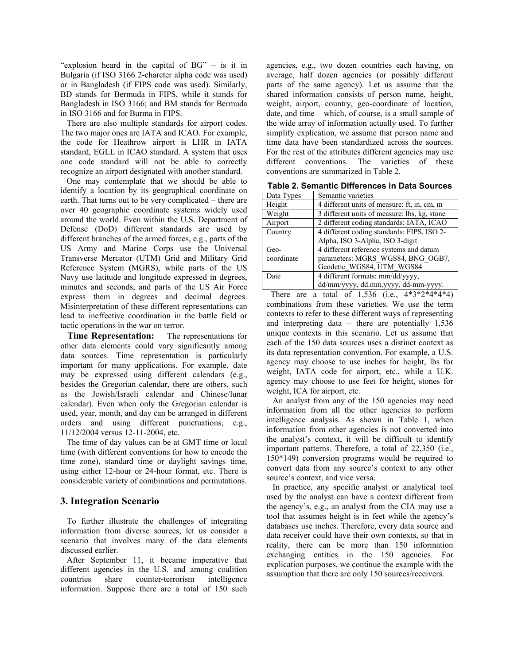"explosion heard in the capital of BG" – is it in Bulgaria (if ISO 3166 2-charcter alpha code was used) or in Bangladesh (if FIPS code was used). Similarly, BD stands for Bermuda in FIPS, while it stands for Bangladesh in ISO 3166; and BM stands for Bermuda in ISO 3166 and for Burma in FIPS.

 There are also multiple standards for airport codes. The two major ones are IATA and ICAO. For example, the code for Heathrow airport is LHR in IATA standard, EGLL in ICAO standard. A system that uses one code standard will not be able to correctly recognize an airport designated with another standard.

 One may contemplate that we should be able to identify a location by its geographical coordinate on earth. That turns out to be very complicated – there are over 40 geographic coordinate systems widely used around the world. Even within the U.S. Department of Defense (DoD) different standards are used by different branches of the armed forces, e.g., parts of the US Army and Marine Corps use the Universal Transverse Mercator (UTM) Grid and Military Grid Reference System (MGRS), while parts of the US Navy use latitude and longitude expressed in degrees, minutes and seconds, and parts of the US Air Force express them in degrees and decimal degrees. Misinterpretation of these different representations can lead to ineffective coordination in the battle field or tactic operations in the war on terror.

 **Time Representation:** The representations for other data elements could vary significantly among data sources. Time representation is particularly important for many applications. For example, date may be expressed using different calendars (e.g., besides the Gregorian calendar, there are others, such as the Jewish/Israeli calendar and Chinese/lunar calendar). Even when only the Gregorian calendar is used, year, month, and day can be arranged in different orders and using different punctuations, e.g., 11/12/2004 versus 12-11-2004, etc.

 The time of day values can be at GMT time or local time (with different conventions for how to encode the time zone), standard time or daylight savings time, using either 12-hour or 24-hour format, etc. There is considerable variety of combinations and permutations.

#### **3. Integration Scenario**

 To further illustrate the challenges of integrating information from diverse sources, let us consider a scenario that involves many of the data elements discussed earlier.

 After September 11, it became imperative that different agencies in the U.S. and among coalition countries share counter-terrorism intelligence information. Suppose there are a total of 150 such agencies, e.g., two dozen countries each having, on average, half dozen agencies (or possibly different parts of the same agency). Let us assume that the shared information consists of person name, height, weight, airport, country, geo-coordinate of location, date, and time – which, of course, is a small sample of the wide array of information actually used. To further simplify explication, we assume that person name and time data have been standardized across the sources. For the rest of the attributes different agencies may use different conventions. The varieties of these conventions are summarized in Table 2.

| ------------- |                                              |  |  |
|---------------|----------------------------------------------|--|--|
| Data Types    | Semantic varieties                           |  |  |
| Height        | 4 different units of measure: ft, in, cm, m  |  |  |
| Weight        | 3 different units of measure: lbs, kg, stone |  |  |
| Airport       | 2 different coding standards: IATA, ICAO     |  |  |
| Country       | 4 different coding standards: FIPS, ISO 2-   |  |  |
|               | Alpha, ISO 3-Alpha, ISO 3-digit              |  |  |
| Geo-          | 4 different reference systems and datum      |  |  |
| coordinate    | parameters: MGRS WGS84, BNG OGB7,            |  |  |
|               | Geodetic WGS84, UTM WGS84                    |  |  |
| Date          | 4 different formats: mm/dd/yyyy,             |  |  |
|               | dd/mm/yyyy, dd.mm.yyyy, dd-mm-yyyy.          |  |  |

**Table 2. Semantic Differences in Data Sources** 

There are a total of  $1,536$  (i.e.,  $4*3*2*4*4*4$ ) combinations from these varieties. We use the term contexts to refer to these different ways of representing and interpreting data – there are potentially 1,536 unique contexts in this scenario. Let us assume that each of the 150 data sources uses a distinct context as its data representation convention. For example, a U.S. agency may choose to use inches for height, lbs for weight, IATA code for airport, etc., while a U.K. agency may choose to use feet for height, stones for weight, ICA for airport, etc.

 An analyst from any of the 150 agencies may need information from all the other agencies to perform intelligence analysis. As shown in Table 1, when information from other agencies is not converted into the analyst's context, it will be difficult to identify important patterns. Therefore, a total of 22,350 (i.e., 150\*149) conversion programs would be required to convert data from any source's context to any other source's context, and vice versa.

 In practice, any specific analyst or analytical tool used by the analyst can have a context different from the agency's, e.g., an analyst from the CIA may use a tool that assumes height is in feet while the agency's databases use inches. Therefore, every data source and data receiver could have their own contexts, so that in reality, there can be more than 150 information exchanging entities in the 150 agencies. For explication purposes, we continue the example with the assumption that there are only 150 sources/receivers.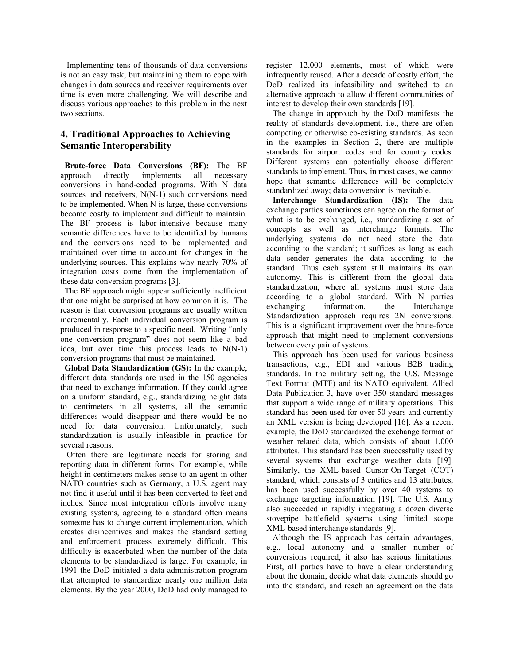Implementing tens of thousands of data conversions is not an easy task; but maintaining them to cope with changes in data sources and receiver requirements over time is even more challenging. We will describe and discuss various approaches to this problem in the next two sections.

# **4. Traditional Approaches to Achieving Semantic Interoperability**

 **Brute-force Data Conversions (BF):** The BF approach directly implements all necessary conversions in hand-coded programs. With N data sources and receivers, N(N-1) such conversions need to be implemented. When N is large, these conversions become costly to implement and difficult to maintain. The BF process is labor-intensive because many semantic differences have to be identified by humans and the conversions need to be implemented and maintained over time to account for changes in the underlying sources. This explains why nearly 70% of integration costs come from the implementation of these data conversion programs [3].

The BF approach might appear sufficiently inefficient that one might be surprised at how common it is. The reason is that conversion programs are usually written incrementally. Each individual conversion program is produced in response to a specific need. Writing "only one conversion program" does not seem like a bad idea, but over time this process leads to N(N-1) conversion programs that must be maintained.

 **Global Data Standardization (GS):** In the example, different data standards are used in the 150 agencies that need to exchange information. If they could agree on a uniform standard, e.g., standardizing height data to centimeters in all systems, all the semantic differences would disappear and there would be no need for data conversion. Unfortunately, such standardization is usually infeasible in practice for several reasons.

 Often there are legitimate needs for storing and reporting data in different forms. For example, while height in centimeters makes sense to an agent in other NATO countries such as Germany, a U.S. agent may not find it useful until it has been converted to feet and inches. Since most integration efforts involve many existing systems, agreeing to a standard often means someone has to change current implementation, which creates disincentives and makes the standard setting and enforcement process extremely difficult. This difficulty is exacerbated when the number of the data elements to be standardized is large. For example, in 1991 the DoD initiated a data administration program that attempted to standardize nearly one million data elements. By the year 2000, DoD had only managed to

register 12,000 elements, most of which were infrequently reused. After a decade of costly effort, the DoD realized its infeasibility and switched to an alternative approach to allow different communities of interest to develop their own standards [19].

 The change in approach by the DoD manifests the reality of standards development, i.e., there are often competing or otherwise co-existing standards. As seen in the examples in Section 2, there are multiple standards for airport codes and for country codes. Different systems can potentially choose different standards to implement. Thus, in most cases, we cannot hope that semantic differences will be completely standardized away; data conversion is inevitable.

 **Interchange Standardization (IS):** The data exchange parties sometimes can agree on the format of what is to be exchanged, i.e., standardizing a set of concepts as well as interchange formats. The underlying systems do not need store the data according to the standard; it suffices as long as each data sender generates the data according to the standard. Thus each system still maintains its own autonomy. This is different from the global data standardization, where all systems must store data according to a global standard. With N parties exchanging information, the Interchange Standardization approach requires 2N conversions. This is a significant improvement over the brute-force approach that might need to implement conversions between every pair of systems.

 This approach has been used for various business transactions, e.g., EDI and various B2B trading standards. In the military setting, the U.S. Message Text Format (MTF) and its NATO equivalent, Allied Data Publication-3, have over 350 standard messages that support a wide range of military operations. This standard has been used for over 50 years and currently an XML version is being developed [16]. As a recent example, the DoD standardized the exchange format of weather related data, which consists of about 1,000 attributes. This standard has been successfully used by several systems that exchange weather data [19]. Similarly, the XML-based Cursor-On-Target (COT) standard, which consists of 3 entities and 13 attributes, has been used successfully by over 40 systems to exchange targeting information [19]. The U.S. Army also succeeded in rapidly integrating a dozen diverse stovepipe battlefield systems using limited scope XML-based interchange standards [9].

 Although the IS approach has certain advantages, e.g., local autonomy and a smaller number of conversions required, it also has serious limitations. First, all parties have to have a clear understanding about the domain, decide what data elements should go into the standard, and reach an agreement on the data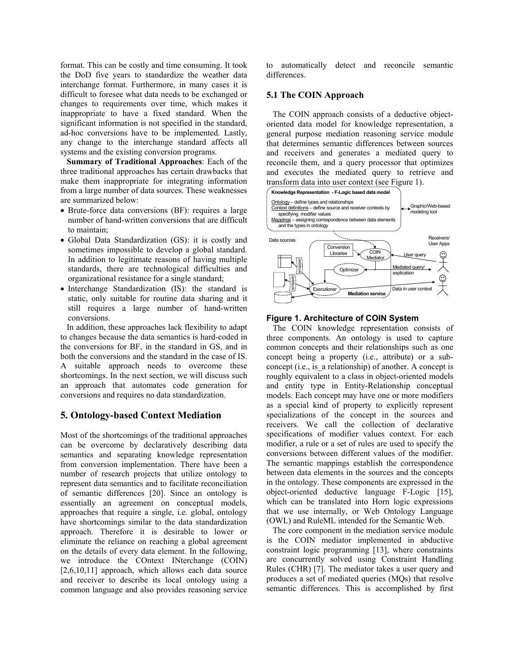format. This can be costly and time consuming. It took the DoD five years to standardize the weather data interchange format. Furthermore, in many cases it is difficult to foresee what data needs to be exchanged or changes to requirements over time, which makes it inappropriate to have a fixed standard. When the significant information is not specified in the standard, ad-hoc conversions have to be implemented. Lastly, any change to the interchange standard affects all systems and the existing conversion programs.

 **Summary of Traditional Approaches**: Each of the three traditional approaches has certain drawbacks that make them inappropriate for integrating information from a large number of data sources. These weaknesses are summarized below:

- Brute-force data conversions (BF): requires a large number of hand-written conversions that are difficult to maintain;
- Global Data Standardization (GS): it is costly and sometimes impossible to develop a global standard. In addition to legitimate reasons of having multiple standards, there are technological difficulties and organizational resistance for a single standard;
- Interchange Standardization (IS): the standard is static, only suitable for routine data sharing and it still requires a large number of hand-written conversions.

 In addition, these approaches lack flexibility to adapt to changes because the data semantics is hard-coded in the conversions for BF, in the standard in GS, and in both the conversions and the standard in the case of IS. A suitable approach needs to overcome these shortcomings. In the next section, we will discuss such an approach that automates code generation for conversions and requires no data standardization.

#### **5. Ontology-based Context Mediation**

Most of the shortcomings of the traditional approaches can be overcome by declaratively describing data semantics and separating knowledge representation from conversion implementation. There have been a number of research projects that utilize ontology to represent data semantics and to facilitate reconciliation of semantic differences [20]. Since an ontology is essentially an agreement on conceptual models, approaches that require a single, i.e. global, ontology have shortcomings similar to the data standardization approach. Therefore it is desirable to lower or eliminate the reliance on reaching a global agreement on the details of every data element. In the following, we introduce the COntext INterchange (COIN) [2,6,10,11] approach, which allows each data source and receiver to describe its local ontology using a common language and also provides reasoning service

to automatically detect and reconcile semantic differences.

#### **5.1 The COIN Approach**

 The COIN approach consists of a deductive objectoriented data model for knowledge representation, a general purpose mediation reasoning service module that determines semantic differences between sources and receivers and generates a mediated query to reconcile them, and a query processor that optimizes and executes the mediated query to retrieve and transform data into user context (see Figure 1).



#### **Figure 1. Architecture of COIN System**

 The COIN knowledge representation consists of three components. An ontology is used to capture common concepts and their relationships such as one concept being a property (i.e., attribute) or a subconcept (i.e., is a relationship) of another. A concept is roughly equivalent to a class in object-oriented models and entity type in Entity-Relationship conceptual models. Each concept may have one or more modifiers as a special kind of property to explicitly represent specializations of the concept in the sources and receivers. We call the collection of declarative specifications of modifier values context. For each modifier, a rule or a set of rules are used to specify the conversions between different values of the modifier. The semantic mappings establish the correspondence between data elements in the sources and the concepts in the ontology. These components are expressed in the object-oriented deductive language F-Logic [15], which can be translated into Horn logic expressions that we use internally, or Web Ontology Language (OWL) and RuleML intended for the Semantic Web.

 The core component in the mediation service module is the COIN mediator implemented in abductive constraint logic programming [13], where constraints are concurrently solved using Constraint Handling Rules (CHR) [7]. The mediator takes a user query and produces a set of mediated queries (MQs) that resolve semantic differences. This is accomplished by first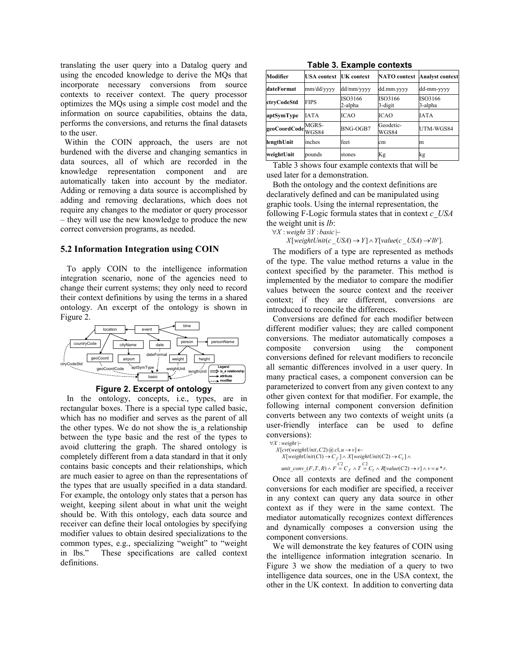translating the user query into a Datalog query and using the encoded knowledge to derive the MQs that incorporate necessary conversions from source contexts to receiver context. The query processor optimizes the MQs using a simple cost model and the information on source capabilities, obtains the data, performs the conversions, and returns the final datasets to the user.

 Within the COIN approach, the users are not burdened with the diverse and changing semantics in data sources, all of which are recorded in the knowledge representation component and are automatically taken into account by the mediator. Adding or removing a data source is accomplished by adding and removing declarations, which does not require any changes to the mediator or query processor – they will use the new knowledge to produce the new correct conversion programs, as needed.

#### **5.2 Information Integration using COIN**

 To apply COIN to the intelligence information integration scenario, none of the agencies need to change their current systems; they only need to record their context definitions by using the terms in a shared ontology. An excerpt of the ontology is shown in Figure 2.





 In the ontology, concepts, i.e., types, are in rectangular boxes. There is a special type called basic, which has no modifier and serves as the parent of all the other types. We do not show the is\_a relationship between the type basic and the rest of the types to avoid cluttering the graph. The shared ontology is completely different from a data standard in that it only contains basic concepts and their relationships, which are much easier to agree on than the representations of the types that are usually specified in a data standard. For example, the ontology only states that a person has weight, keeping silent about in what unit the weight should be. With this ontology, each data source and receiver can define their local ontologies by specifying modifier values to obtain desired specializations to the common types, e.g., specializing "weight" to "weight in lbs." These specifications are called context definitions.

| Modifier          | <b>USA</b> context | UK context         |                    | <b>NATO</b> context Analyst context |
|-------------------|--------------------|--------------------|--------------------|-------------------------------------|
| dateFormat        | mm/dd/yyyy         | dd/mm/yyyy         | dd.mm.yyyy         | dd-mm-yyyy                          |
| ctryCodeStd       | <b>FIPS</b>        | ISO3166<br>2-alpha | ISO3166<br>3-digit | ISO3166<br>3-alpha                  |
| aptSymType        | <b>IATA</b>        | ICAO               | <b>ICAO</b>        | <b>IATA</b>                         |
| geoCoordCodeWGS84 | MGRS-              | BNG-OGB7           | Geodetic-<br>WGS84 | UTM-WGS84                           |
| lengthUnit        | inches             | feet               | cm                 | m                                   |
| weightUnit        | pounds             | stones             | Kg                 | kg                                  |

**Table 3. Example contexts** 

 Table 3 shows four example contexts that will be used later for a demonstration.

 Both the ontology and the context definitions are declaratively defined and can be manipulated using graphic tools. Using the internal representation, the following F-Logic formula states that in context *c\_USA* the weight unit is *lb*:

 $\forall X : weight \exists Y : basic \vdash$ 

 $\forall X : weightUnit(c \text{ } USA) \rightarrow Y \land Y \text{ } value(c \text{ } USA) \rightarrow 'lb'.$ 

 The modifiers of a type are represented as methods of the type. The value method returns a value in the context specified by the parameter. This method is implemented by the mediator to compare the modifier values between the source context and the receiver context; if they are different, conversions are introduced to reconcile the differences.

 Conversions are defined for each modifier between different modifier values; they are called component conversions. The mediator automatically composes a composite conversion using the component conversions defined for relevant modifiers to reconcile all semantic differences involved in a user query. In many practical cases, a component conversion can be parameterized to convert from any given context to any other given context for that modifier. For example, the following internal component conversion definition converts between any two contexts of weight units (a user-friendly interface can be used to define conversions):

$$
\forall X : weight \vdash
$$

conv  $(F, T, R) \wedge F = C_f \wedge T = C_t \wedge R[value(C2) \rightarrow r] \wedge v = u * r$ .  $X[weightUnit(CI) \rightarrow C_f] \land X[weightUnit(C2) \rightarrow C_f] \land$ <br>
unit conv  $(F, T, R) \land F = C_f \land T = C_f \land R[value(C2) \rightarrow r] \land v = u * r$  $[*cvt*(*weightUnit*, *C*2)*@*, *c*1, *u* \rightarrow *v*]$  $X[weightUnit(C1) \rightarrow C_f \mid \wedge X[weightUnit(C2) \rightarrow C$  $X$ [*cvt*(*weightUnit*, *C*2) $@$   $c1$ ,  $u \rightarrow v$ *X* : weight  $\vdash$ <br>*X*  $[\text{cvt}(\text{weightUnit}, C2) \textcircled{a} \text{cl}, u \rightarrow v] \leftarrow$  $f \cap A$  [weight  $Out(C2) \rightarrow C$ <sub>*t*</sub><br>  $f^{-2}C_2$ <br>  $f = C_f \land T = C_t \land R[value(C)]$  $\wedge$  F = C<sub>f</sub>  $\wedge$  T = C<sub>f</sub>  $\wedge$  R[value(C2)  $\rightarrow$  r]  $\wedge$  v =  $\rightarrow$   $C_f$   $\land$   $X[weightUnit(C2) \rightarrow C_f$   $\land$ 

 Once all contexts are defined and the component conversions for each modifier are specified, a receiver in any context can query any data source in other context as if they were in the same context. The mediator automatically recognizes context differences and dynamically composes a conversion using the component conversions.

 We will demonstrate the key features of COIN using the intelligence information integration scenario. In Figure 3 we show the mediation of a query to two intelligence data sources, one in the USA context, the other in the UK context. In addition to converting data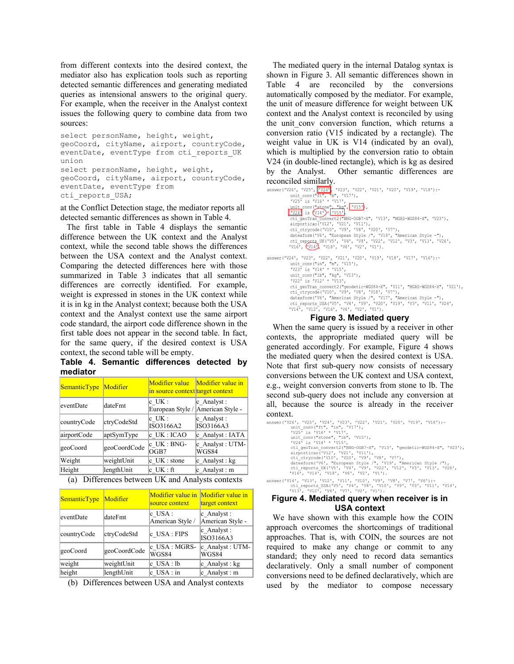from different contexts into the desired context, the mediator also has explication tools such as reporting detected semantic differences and generating mediated queries as intensional answers to the original query. For example, when the receiver in the Analyst context issues the following query to combine data from two sources:

```
select personName, height, weight, 
geoCoord, cityName, airport, countryCode, 
eventDate, eventType from cti_reports_UK 
union 
select personName, height, weight, 
geoCoord, cityName, airport, countryCode, 
eventDate, eventType from 
cti reports USA;
```
at the Conflict Detection stage, the mediator reports all detected semantic differences as shown in Table 4.

 The first table in Table 4 displays the semantic difference between the UK context and the Analyst context, while the second table shows the differences between the USA context and the Analyst context. Comparing the detected differences here with those summarized in Table 3 indicates that all semantic differences are correctly identified. For example, weight is expressed in stones in the UK context while it is in kg in the Analyst context; because both the USA context and the Analyst context use the same airport code standard, the airport code difference shown in the first table does not appear in the second table. In fact, for the same query, if the desired context is USA context, the second table will be empty.

**Table 4. Semantic differences detected by mediator**

| <b>SemanticType</b> | Modifier     | in source context target context              | Modifier value Modifier value in    |
|---------------------|--------------|-----------------------------------------------|-------------------------------------|
| eventDate           | dateFmt      | $c$ UK :<br>European Style / American Style - | $ c \text{ Analyst}:$               |
| countryCode         | ctryCodeStd  | $ c \t{UK}:$<br>ISO3166A2                     | $\ c \text{ Analyst}:$<br>ISO3166A3 |
| airportCode         | aptSymType   | $c$ UK : ICAO                                 | $\ c \text{ Analyst}: IATA$         |
| geoCoord            | geoCoordCode | $c$ UK : BNG-<br>OGB7                         | c Analyst : UTM-<br>WGS84           |
| Weight              | weightUnit   | $ c \text{ UK}: \text{stone}$                 | $ c \text{ Analyst}:$ kg            |
| Height              | lengthUnit   | $c$ _UK : ft                                  | $c$ _Analyst: m                     |

(a) Differences between UK and Analysts contexts

| <b>SemanticType</b> | Modifier     | Modifier value in<br>source context | Modifier value in<br>target context       |
|---------------------|--------------|-------------------------------------|-------------------------------------------|
| eventDate           | dateFmt      | $c$ USA :<br>American Style /       | $ c \text{ Analyst}:$<br>American Style - |
| countryCode         | ctryCodeStd  | $ c$ USA : FIPS                     | $ c \text{ Analyst}:$<br>ISO3166A3        |
| geoCoord            | geoCoordCode | $ c$ _USA : MGRS-<br>WGS84          | $ c \text{ Analyst}: UTM-$<br>WGS84       |
| weight              | weightUnit   | $ c$ USA : lb                       | $ c \text{ Analyst}:$ kg                  |
| height              | lengthUnit   | $\mathbf c$ USA : in                | $ c \text{ Analyst}: m$                   |

(b) Differences between USA and Analyst contexts

 The mediated query in the internal Datalog syntax is shown in Figure 3. All semantic differences shown in Table 4 are reconciled by the conversions automatically composed by the mediator. For example, the unit of measure difference for weight between UK context and the Analyst context is reconciled by using the unit conv conversion function, which returns a conversion ratio (V15 indicated by a rectangle). The weight value in UK is V14 (indicated by an oval), which is multiplied by the conversion ratio to obtain V24 (in double-lined rectangle), which is kg as desired by the Analyst. Other semantic differences are reconciled similarly.

| Eiguro 2 Modiatod guaru                                                                                                                                                                                                                                                                                                                                                                              |
|------------------------------------------------------------------------------------------------------------------------------------------------------------------------------------------------------------------------------------------------------------------------------------------------------------------------------------------------------------------------------------------------------|
| 'V23' is 'V14' * 'V15',<br>unit conv("lb", "kq", 'V13'),<br>'V22' is 'V12' * 'V13',<br>cti geoTran convert2("geodetic-WGS84-X", 'V11', "MGRS-WGS84-X", 'V21'),<br>cti ctrycode('V10', 'V9', 'V8', 'V18', 'V7'),<br>datexform('V6', "American Style /", 'V17', "American Style -"),<br>cti reports USA('V5', 'V4', 'V9', 'V20', 'V19', 'V3', 'V11', 'V24',<br>'V14', 'V12', 'V16', 'V6', 'V2', 'V1'). |
| answer('V24', 'V23', 'V22', 'V21', 'V20', 'V19', 'V18', 'V17', 'V16'):-<br>unit conv("in", "m", 'V15'),                                                                                                                                                                                                                                                                                              |
| airporticao ('V12', 'V21', 'V11'),<br>cti ctrycode('V10', 'V9', 'V8', 'V20', 'V7'),<br>datexform('V6', "European Style /", 'V19', "American Style -"),<br>cti reports UK('V5', 'V4', 'V8', 'V22', 'V12', 'V3', 'V13', 'V26',<br>'V16', (V14'), 'V18', 'V6', 'V2', 'V1').                                                                                                                             |
| , v15' <mark>), unit_</mark> conv ("stone", "kg", <mark>!</mark> 'V15')_<br>$\vert \vert$ 'V24' is (V14')* 'V15',<br>cti geoTran convert2("BNG-OGB7-X", 'V13', "MGRS-WGS84-X", 'V23'),                                                                                                                                                                                                               |
| unit conv("ft", "m", 'V17'),<br>'V25' is 'V16' * 'V17',                                                                                                                                                                                                                                                                                                                                              |
| answer('V26', 'V25', <mark>'V24'</mark> , 'V23', 'V22', 'V21', 'V20', 'V19', 'V18'):-                                                                                                                                                                                                                                                                                                                |

**Figure 3. Mediated query** 

 When the same query is issued by a receiver in other contexts, the appropriate mediated query will be generated accordingly. For example, Figure 4 shows the mediated query when the desired context is USA. Note that first sub-query now consists of necessary conversions between the UK context and USA context, e.g., weight conversion converts from stone to lb. The second sub-query does not include any conversion at all, because the source is already in the receiver context.

```
answer('V26', 'V25', 'V24', 'V23', 'V22', 'V21', 'V20', 'V19', 'V18'):-<br>unit_conv("ft", "in", 'V17'),<br>'V25' is 'V16' * 'V17',
unit_conv("stone", "lb", 'V15'),<br>'V24' is 'V14' * 'V15',<br>cti_geoTran_convert2("BNG-OGB7-X", 'V13', "geodetic-WGS84-X", 'V23'),<br>airporticao('V12', 'V21', 'V11'),<br>cti_ctrycode('V10', 'V20', 'V9', 'V8', 'V7'),<br>datexform('V6',
```
answer('V14', 'V13', 'V12', 'V11', 'V10', 'V9', 'V8', 'V7', 'V6'):-<br>cti\_reports\_USA('V5', 'V4', 'V8', 'V10', 'V9', 'V3', 'V1', 'V14',<br>'V13', 'V12', 'V6', 'V7', 'V2', 'V1').

#### **Figure 4. Mediated query when receiver is in USA context**

 We have shown with this example how the COIN approach overcomes the shortcomings of traditional approaches. That is, with COIN, the sources are not required to make any change or commit to any standard; they only need to record data semantics declaratively. Only a small number of component conversions need to be defined declaratively, which are used by the mediator to compose necessary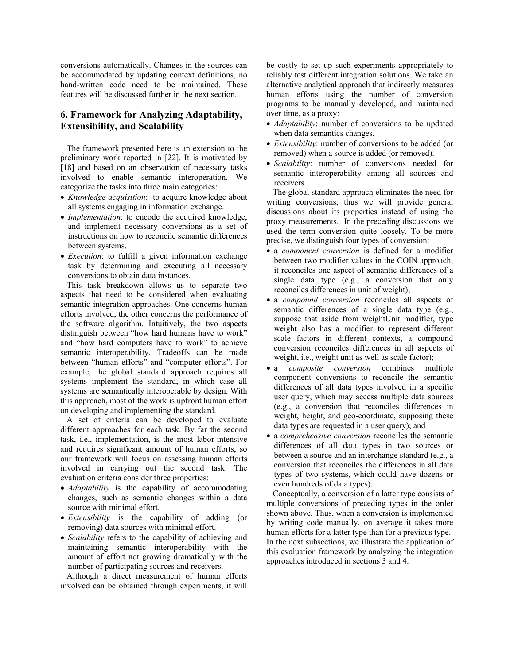conversions automatically. Changes in the sources can be accommodated by updating context definitions, no hand-written code need to be maintained. These features will be discussed further in the next section.

# **6. Framework for Analyzing Adaptability, Extensibility, and Scalability**

 The framework presented here is an extension to the preliminary work reported in [22]. It is motivated by [18] and based on an observation of necessary tasks involved to enable semantic interoperation. We categorize the tasks into three main categories:

- *Knowledge acquisition*: to acquire knowledge about all systems engaging in information exchange.
- *Implementation*: to encode the acquired knowledge, and implement necessary conversions as a set of instructions on how to reconcile semantic differences between systems.
- *Execution*: to fulfill a given information exchange task by determining and executing all necessary conversions to obtain data instances.

 This task breakdown allows us to separate two aspects that need to be considered when evaluating semantic integration approaches. One concerns human efforts involved, the other concerns the performance of the software algorithm. Intuitively, the two aspects distinguish between "how hard humans have to work" and "how hard computers have to work" to achieve semantic interoperability. Tradeoffs can be made between "human efforts" and "computer efforts". For example, the global standard approach requires all systems implement the standard, in which case all systems are semantically interoperable by design. With this approach, most of the work is upfront human effort on developing and implementing the standard.

 A set of criteria can be developed to evaluate different approaches for each task. By far the second task, i.e., implementation, is the most labor-intensive and requires significant amount of human efforts, so our framework will focus on assessing human efforts involved in carrying out the second task. The evaluation criteria consider three properties:

- *Adaptability* is the capability of accommodating changes, such as semantic changes within a data source with minimal effort.
- *Extensibility* is the capability of adding (or removing) data sources with minimal effort.
- *Scalability* refers to the capability of achieving and maintaining semantic interoperability with the amount of effort not growing dramatically with the number of participating sources and receivers.

 Although a direct measurement of human efforts involved can be obtained through experiments, it will be costly to set up such experiments appropriately to reliably test different integration solutions. We take an alternative analytical approach that indirectly measures human efforts using the number of conversion programs to be manually developed, and maintained over time, as a proxy:

- *Adaptability*: number of conversions to be updated when data semantics changes.
- *Extensibility*: number of conversions to be added (or removed) when a source is added (or removed).
- *Scalability*: number of conversions needed for semantic interoperability among all sources and receivers.

 The global standard approach eliminates the need for writing conversions, thus we will provide general discussions about its properties instead of using the proxy measurements. In the preceding discussions we used the term conversion quite loosely. To be more precise, we distinguish four types of conversion:

- a *component conversion* is defined for a modifier between two modifier values in the COIN approach; it reconciles one aspect of semantic differences of a single data type (e.g., a conversion that only reconciles differences in unit of weight);
- a *compound conversion* reconciles all aspects of semantic differences of a single data type (e.g., suppose that aside from weightUnit modifier, type weight also has a modifier to represent different scale factors in different contexts, a compound conversion reconciles differences in all aspects of weight, i.e., weight unit as well as scale factor);
- a *composite conversion* combines multiple component conversions to reconcile the semantic differences of all data types involved in a specific user query, which may access multiple data sources (e.g., a conversion that reconciles differences in weight, height, and geo-coordinate, supposing these data types are requested in a user query); and
- a *comprehensive conversion* reconciles the semantic differences of all data types in two sources or between a source and an interchange standard (e.g., a conversion that reconciles the differences in all data types of two systems, which could have dozens or even hundreds of data types).

 Conceptually, a conversion of a latter type consists of multiple conversions of preceding types in the order shown above. Thus, when a conversion is implemented by writing code manually, on average it takes more human efforts for a latter type than for a previous type. In the next subsections, we illustrate the application of this evaluation framework by analyzing the integration approaches introduced in sections 3 and 4.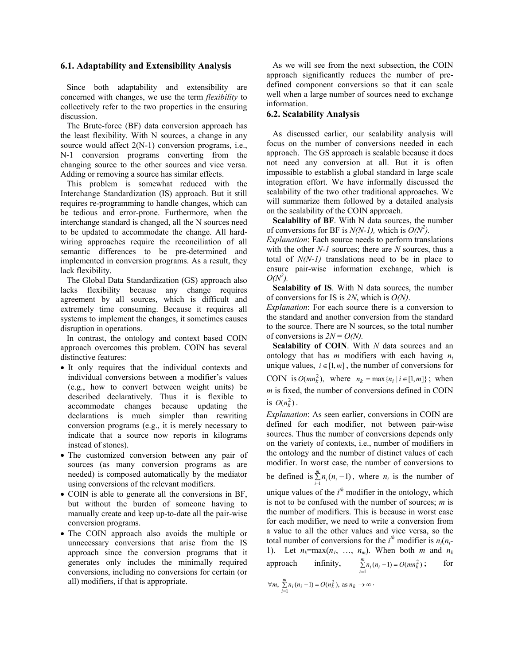#### **6.1. Adaptability and Extensibility Analysis**

 Since both adaptability and extensibility are concerned with changes, we use the term *flexibility* to collectively refer to the two properties in the ensuring discussion.

 The Brute-force (BF) data conversion approach has the least flexibility. With N sources, a change in any source would affect 2(N-1) conversion programs, i.e., N-1 conversion programs converting from the changing source to the other sources and vice versa. Adding or removing a source has similar effects.

 This problem is somewhat reduced with the Interchange Standardization (IS) approach. But it still requires re-programming to handle changes, which can be tedious and error-prone. Furthermore, when the interchange standard is changed, all the N sources need to be updated to accommodate the change. All hardwiring approaches require the reconciliation of all semantic differences to be pre-determined and implemented in conversion programs. As a result, they lack flexibility.

 The Global Data Standardization (GS) approach also lacks flexibility because any change requires agreement by all sources, which is difficult and extremely time consuming. Because it requires all systems to implement the changes, it sometimes causes disruption in operations.

 In contrast, the ontology and context based COIN approach overcomes this problem. COIN has several distinctive features:

- It only requires that the individual contexts and individual conversions between a modifier's values (e.g., how to convert between weight units) be described declaratively. Thus it is flexible to accommodate changes because updating the declarations is much simpler than rewriting conversion programs (e.g., it is merely necessary to indicate that a source now reports in kilograms instead of stones).
- The customized conversion between any pair of sources (as many conversion programs as are needed) is composed automatically by the mediator using conversions of the relevant modifiers.
- COIN is able to generate all the conversions in BF, but without the burden of someone having to manually create and keep up-to-date all the pair-wise conversion programs.
- The COIN approach also avoids the multiple or unnecessary conversions that arise from the IS approach since the conversion programs that it generates only includes the minimally required conversions, including no conversions for certain (or all) modifiers, if that is appropriate.

 As we will see from the next subsection, the COIN approach significantly reduces the number of predefined component conversions so that it can scale well when a large number of sources need to exchange information.

#### **6.2. Scalability Analysis**

 As discussed earlier, our scalability analysis will focus on the number of conversions needed in each approach. The GS approach is scalable because it does not need any conversion at all. But it is often impossible to establish a global standard in large scale integration effort. We have informally discussed the scalability of the two other traditional approaches. We will summarize them followed by a detailed analysis on the scalability of the COIN approach.

 **Scalability of BF**. With N data sources, the number of conversions for BF is  $N(N-1)$ , which is  $O(N^2)$ .

*Explanation*: Each source needs to perform translations with the other *N-1* sources; there are *N* sources, thus a total of *N(N-1)* translations need to be in place to ensure pair-wise information exchange, which is  $O(N^2)$ .

 **Scalability of IS**. With N data sources, the number of conversions for IS is *2N*, which is *O(N)*.

*Explanation*: For each source there is a conversion to the standard and another conversion from the standard to the source. There are N sources, so the total number of conversions is *2N* = *O(N).*

 **Scalability of COIN**. With *N* data sources and an ontology that has *m* modifiers with each having *ni* unique values,  $i \in [1, m]$ , the number of conversions for COIN is  $O(mn_k^2)$ , where  $n_k = \max\{n_i | i \in [1, m]\}$ ; when *m* is fixed, the number of conversions defined in COIN is  $O(n_k^2)$ .

*Explanation*: As seen earlier, conversions in COIN are defined for each modifier, not between pair-wise sources. Thus the number of conversions depends only on the variety of contexts, i.e., number of modifiers in the ontology and the number of distinct values of each modifier. In worst case, the number of conversions to

be defined is  $\sum_{i=1}^{m} n_i (n_i \sum_{i=1}^{m} n_i(n_i - 1)$ , where  $n_i$  is the number of

unique values of the  $i<sup>th</sup>$  modifier in the ontology, which is not to be confused with the number of sources; *m* is the number of modifiers. This is because in worst case for each modifier, we need to write a conversion from a value to all the other values and vice versa, so the total number of conversions for the  $i^{th}$  modifier is  $n_i(n_i-$ 1). Let  $n_k = \max(n_1, \ldots, n_m)$ . When both *m* and  $n_k$ approach infinity,  $\sum_{i=1}^{m} n_i (n_i - 1) = O(mn_k^2)$ *m*  $\sum_{i=1}^{n} n_i (n_i - 1) = O(mn)$ ; for

$$
\forall m, \sum_{i=1}^{m} n_i (n_i - 1) = O(n_k^2), \text{ as } n_k \to \infty.
$$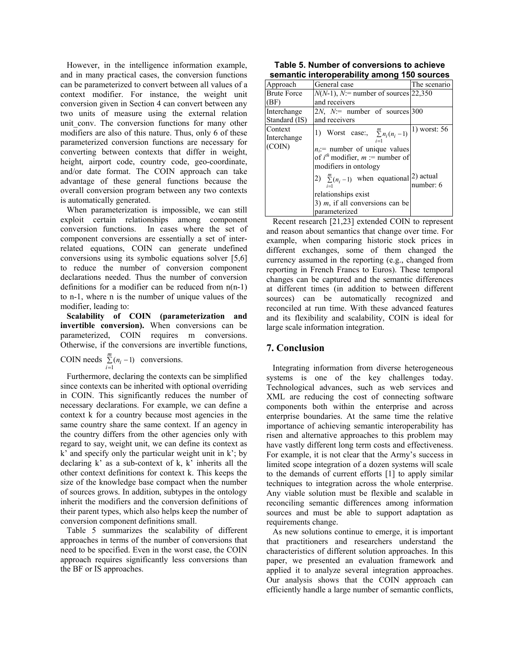However, in the intelligence information example, and in many practical cases, the conversion functions can be parameterized to convert between all values of a context modifier. For instance, the weight unit conversion given in Section 4 can convert between any two units of measure using the external relation unit conv. The conversion functions for many other modifiers are also of this nature. Thus, only 6 of these parameterized conversion functions are necessary for converting between contexts that differ in weight, height, airport code, country code, geo-coordinate, and/or date format. The COIN approach can take advantage of these general functions because the overall conversion program between any two contexts is automatically generated.

 When parameterization is impossible, we can still exploit certain relationships among component conversion functions. In cases where the set of component conversions are essentially a set of interrelated equations, COIN can generate undefined conversions using its symbolic equations solver [5,6] to reduce the number of conversion component declarations needed. Thus the number of conversion definitions for a modifier can be reduced from n(n-1) to n-1, where n is the number of unique values of the modifier, leading to:

 **Scalability of COIN (parameterization and invertible conversion).** When conversions can be parameterized, COIN requires m conversions. Otherwise, if the conversions are invertible functions,

COIN needs  $\sum_{i=1}^{m} (n_i$ *m*  $\sum_{i=1}^{m} (n_i - 1)$  conversions.

 Furthermore, declaring the contexts can be simplified since contexts can be inherited with optional overriding in COIN. This significantly reduces the number of necessary declarations. For example, we can define a context k for a country because most agencies in the same country share the same context. If an agency in the country differs from the other agencies only with regard to say, weight unit, we can define its context as  $k'$  and specify only the particular weight unit in  $k'$ ; by declaring k' as a sub-context of k, k' inherits all the other context definitions for context k. This keeps the size of the knowledge base compact when the number of sources grows. In addition, subtypes in the ontology inherit the modifiers and the conversion definitions of their parent types, which also helps keep the number of conversion component definitions small.

 Table 5 summarizes the scalability of different approaches in terms of the number of conversions that need to be specified. Even in the worst case, the COIN approach requires significantly less conversions than the BF or IS approaches.

| Table 5. Number of conversions to achieve   |  |
|---------------------------------------------|--|
| semantic interoperability among 150 sources |  |

| Approach               | General case                                                               | The scenario   |
|------------------------|----------------------------------------------------------------------------|----------------|
| <b>Brute Force</b>     | $N(N-1)$ , $N =$ number of sources 22,350                                  |                |
| (BF)                   | and receivers                                                              |                |
| Interchange            | 2N, $N =$ number of sources 300                                            |                |
| Standard (IS)          | and receivers                                                              |                |
| Context<br>Interchange | 1) Worst case:, $\sum_{i=1}^{m} n_i(n_i-1)$<br>$i=1$                       | 1) worst: $56$ |
| (COIN)                 | $n_i$ := number of unique values<br>of $i^{th}$ modifier, $m :=$ number of |                |
|                        | modifiers in ontology                                                      |                |
|                        | 2) $\sum_{i=1}^{m}$ ( <i>n<sub>i</sub></i> -1) when equational 2) actual   | number: 6      |
|                        | relationships exist                                                        |                |
|                        | 3) $m$ , if all conversions can be                                         |                |
|                        | parameterized                                                              |                |

 Recent research [21,23] extended COIN to represent and reason about semantics that change over time. For example, when comparing historic stock prices in different exchanges, some of them changed the currency assumed in the reporting (e.g., changed from reporting in French Francs to Euros). These temporal changes can be captured and the semantic differences at different times (in addition to between different sources) can be automatically recognized and reconciled at run time. With these advanced features and its flexibility and scalability, COIN is ideal for large scale information integration.

#### **7. Conclusion**

 Integrating information from diverse heterogeneous systems is one of the key challenges today. Technological advances, such as web services and XML are reducing the cost of connecting software components both within the enterprise and across enterprise boundaries. At the same time the relative importance of achieving semantic interoperability has risen and alternative approaches to this problem may have vastly different long term costs and effectiveness. For example, it is not clear that the Army's success in limited scope integration of a dozen systems will scale to the demands of current efforts [1] to apply similar techniques to integration across the whole enterprise. Any viable solution must be flexible and scalable in reconciling semantic differences among information sources and must be able to support adaptation as requirements change.

 As new solutions continue to emerge, it is important that practitioners and researchers understand the characteristics of different solution approaches. In this paper, we presented an evaluation framework and applied it to analyze several integration approaches. Our analysis shows that the COIN approach can efficiently handle a large number of semantic conflicts,